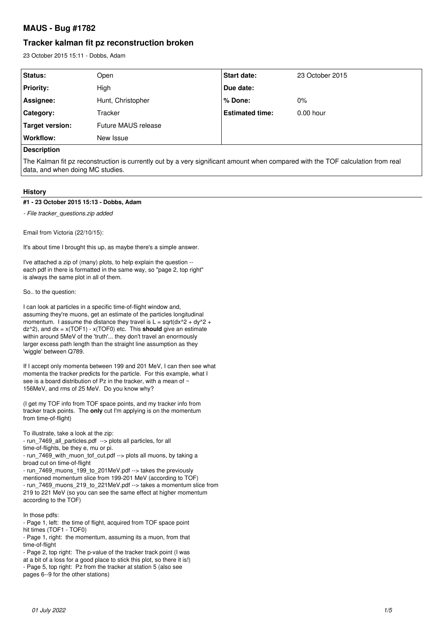# **MAUS - Bug #1782**

# **Tracker kalman fit pz reconstruction broken**

23 October 2015 15:11 - Dobbs, Adam

| Status:            | Open                | <b>Start date:</b>     | 23 October 2015 |
|--------------------|---------------------|------------------------|-----------------|
| <b>Priority:</b>   | High                | Due date:              |                 |
| Assignee:          | Hunt, Christopher   | $%$ Done:              | $0\%$           |
| Category:          | Tracker             | <b>Estimated time:</b> | $0.00$ hour     |
| Target version:    | Future MAUS release |                        |                 |
| Workflow:          | New Issue           |                        |                 |
| <b>Description</b> |                     |                        |                 |

The Kalman fit pz reconstruction is currently out by a very significant amount when compared with the TOF calculation from real data, and when doing MC studies.

## **History**

#### **#1 - 23 October 2015 15:13 - Dobbs, Adam**

*- File tracker\_questions.zip added*

Email from Victoria (22/10/15):

It's about time I brought this up, as maybe there's a simple answer.

I've attached a zip of (many) plots, to help explain the question - each pdf in there is formatted in the same way, so "page 2, top right" is always the same plot in all of them.

So.. to the question:

I can look at particles in a specific time-of-flight window and, assuming they're muons, get an estimate of the particles longitudinal momentum. I assume the distance they travel is  $L = sqrt(dx^2 + dy^2 +$ dz^2), and dx = x(TOF1) - x(TOF0) etc. This **should** give an estimate within around 5MeV of the 'truth'... they don't travel an enormously larger excess path length than the straight line assumption as they 'wiggle' between Q789.

If I accept only momenta between 199 and 201 MeV, I can then see what momenta the tracker predicts for the particle. For this example, what I see is a board distribution of Pz in the tracker, with a mean of ~ 156MeV, and rms of 25 MeV. Do you know why?

(I get my TOF info from TOF space points, and my tracker info from tracker track points. The **only** cut I'm applying is on the momentum from time-of-flight)

To illustrate, take a look at the zip: - run\_7469\_all\_particles.pdf --> plots all particles, for all

time-of-flights, be they e, mu or pi.

- run\_7469\_with\_muon\_tof\_cut.pdf --> plots all muons, by taking a broad cut on time-of-flight

- run\_7469\_muons\_199\_to\_201MeV.pdf --> takes the previously mentioned momentum slice from 199-201 MeV (according to TOF) - run\_7469\_muons\_219\_to\_221MeV.pdf --> takes a momentum slice from 219 to 221 MeV (so you can see the same effect at higher momentum according to the TOF)

In those pdfs:

- Page 1, left: the time of flight, acquired from TOF space point hit times (TOF1 - TOF0)

- Page 1, right: the momentum, assuming its a muon, from that time-of-flight

- Page 2, top right: The p-value of the tracker track point (I was

at a bit of a loss for a good place to stick this plot, so there it is!)

- Page 5, top right: Pz from the tracker at station 5 (also see

pages 6--9 for the other stations)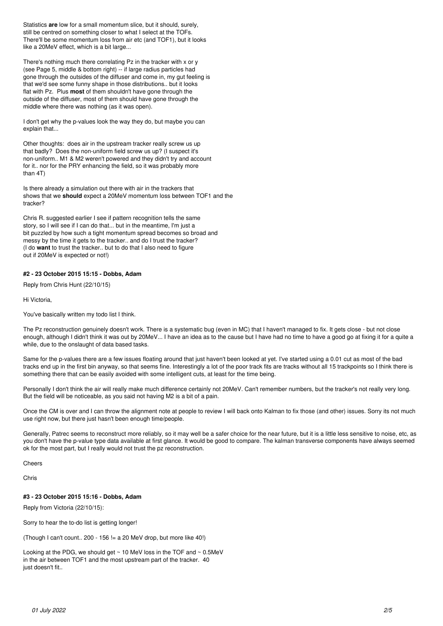Statistics **are** low for a small momentum slice, but it should, surely, still be centred on something closer to what I select at the TOFs. There'll be some momentum loss from air etc (and TOF1), but it looks like a 20MeV effect, which is a bit large...

There's nothing much there correlating Pz in the tracker with x or y (see Page 5, middle & bottom right) -- if large radius particles had gone through the outsides of the diffuser and come in, my gut feeling is that we'd see some funny shape in those distributions.. but it looks flat with Pz. Plus **most** of them shouldn't have gone through the outside of the diffuser, most of them should have gone through the middle where there was nothing (as it was open).

I don't get why the p-values look the way they do, but maybe you can explain that...

Other thoughts: does air in the upstream tracker really screw us up that badly? Does the non-uniform field screw us up? (I suspect it's non-uniform.. M1 & M2 weren't powered and they didn't try and account for it.. nor for the PRY enhancing the field, so it was probably more than 4T)

Is there already a simulation out there with air in the trackers that shows that we **should** expect a 20MeV momentum loss between TOF1 and the tracker?

Chris R. suggested earlier I see if pattern recognition tells the same story, so I will see if I can do that... but in the meantime, I'm just a bit puzzled by how such a tight momentum spread becomes so broad and messy by the time it gets to the tracker.. and do I trust the tracker? (I do **want** to trust the tracker.. but to do that I also need to figure out if 20MeV is expected or not!)

## **#2 - 23 October 2015 15:15 - Dobbs, Adam**

Reply from Chris Hunt (22/10/15)

Hi Victoria,

You've basically written my todo list I think.

The Pz reconstruction genuinely doesn't work. There is a systematic bug (even in MC) that I haven't managed to fix. It gets close - but not close enough, although I didn't think it was out by 20MeV... I have an idea as to the cause but I have had no time to have a good go at fixing it for a quite a while, due to the onslaught of data based tasks.

Same for the p-values there are a few issues floating around that just haven't been looked at yet. I've started using a 0.01 cut as most of the bad tracks end up in the first bin anyway, so that seems fine. Interestingly a lot of the poor track fits are tracks without all 15 trackpoints so I think there is something there that can be easily avoided with some intelligent cuts, at least for the time being.

Personally I don't think the air will really make much difference certainly not 20MeV. Can't remember numbers, but the tracker's not really very long. But the field will be noticeable, as you said not having M2 is a bit of a pain.

Once the CM is over and I can throw the alignment note at people to review I will back onto Kalman to fix those (and other) issues. Sorry its not much use right now, but there just hasn't been enough time/people.

Generally, Patrec seems to reconstruct more reliably, so it may well be a safer choice for the near future, but it is a little less sensitive to noise, etc, as you don't have the p-value type data available at first glance. It would be good to compare. The kalman transverse components have always seemed ok for the most part, but I really would not trust the pz reconstruction.

## **Cheers**

Chris

## **#3 - 23 October 2015 15:16 - Dobbs, Adam**

Reply from Victoria (22/10/15):

Sorry to hear the to-do list is getting longer!

(Though I can't count.. 200 - 156 != a 20 MeV drop, but more like 40!)

Looking at the PDG, we should get ~ 10 MeV loss in the TOF and ~ 0.5MeV in the air between TOF1 and the most upstream part of the tracker. 40 just doesn't fit..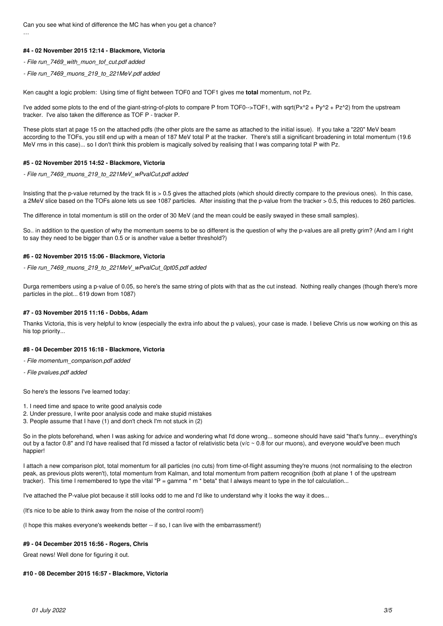Can you see what kind of difference the MC has when you get a chance? …

## **#4 - 02 November 2015 12:14 - Blackmore, Victoria**

- *File run\_7469\_with\_muon\_tof\_cut.pdf added*
- *File run\_7469\_muons\_219\_to\_221MeV.pdf added*

Ken caught a logic problem: Using time of flight between TOF0 and TOF1 gives me **total** momentum, not Pz.

I've added some plots to the end of the giant-string-of-plots to compare P from TOF0-->TOF1, with sqrt( $Px^2 + Py^2 + Py^2 + Pz^2$ ) from the upstream tracker. I've also taken the difference as TOF P - tracker P.

These plots start at page 15 on the attached pdfs (the other plots are the same as attached to the initial issue). If you take a "220" MeV beam according to the TOFs, you still end up with a mean of 187 MeV total P at the tracker. There's still a significant broadening in total momentum (19.6 MeV rms in this case)... so I don't think this problem is magically solved by realising that I was comparing total P with Pz.

#### **#5 - 02 November 2015 14:52 - Blackmore, Victoria**

*- File run\_7469\_muons\_219\_to\_221MeV\_wPvalCut.pdf added*

Insisting that the p-value returned by the track fit is > 0.5 gives the attached plots (which should directly compare to the previous ones). In this case, a 2MeV slice based on the TOFs alone lets us see 1087 particles. After insisting that the p-value from the tracker > 0.5, this reduces to 260 particles.

The difference in total momentum is still on the order of 30 MeV (and the mean could be easily swayed in these small samples).

So.. in addition to the question of why the momentum seems to be so different is the question of why the p-values are all pretty grim? (And am I right to say they need to be bigger than 0.5 or is another value a better threshold?)

#### **#6 - 02 November 2015 15:06 - Blackmore, Victoria**

*- File run\_7469\_muons\_219\_to\_221MeV\_wPvalCut\_0pt05.pdf added*

Durga remembers using a p-value of 0.05, so here's the same string of plots with that as the cut instead. Nothing really changes (though there's more particles in the plot... 619 down from 1087)

#### **#7 - 03 November 2015 11:16 - Dobbs, Adam**

Thanks Victoria, this is very helpful to know (especially the extra info about the p values), your case is made. I believe Chris us now working on this as his top priority...

#### **#8 - 04 December 2015 16:18 - Blackmore, Victoria**

- *File momentum\_comparison.pdf added*
- *File pvalues.pdf added*

So here's the lessons I've learned today:

- 1. I need time and space to write good analysis code
- 2. Under pressure, I write poor analysis code and make stupid mistakes
- 3. People assume that I have (1) and don't check I'm not stuck in (2)

So in the plots beforehand, when I was asking for advice and wondering what I'd done wrong... someone should have said "that's funny... everything's out by a factor 0.8" and I'd have realised that I'd missed a factor of relativistic beta (v/c ~ 0.8 for our muons), and everyone would've been much happier!

I attach a new comparison plot, total momentum for all particles (no cuts) from time-of-flight assuming they're muons (not normalising to the electron peak, as previous plots weren't), total momentum from Kalman, and total momentum from pattern recognition (both at plane 1 of the upstream tracker). This time I remembered to type the vital "P = gamma \* m \* beta" that I always meant to type in the tof calculation...

I've attached the P-value plot because it still looks odd to me and I'd like to understand why it looks the way it does...

(It's nice to be able to think away from the noise of the control room!)

(I hope this makes everyone's weekends better -- if so, I can live with the embarrassment!)

#### **#9 - 04 December 2015 16:56 - Rogers, Chris**

Great news! Well done for figuring it out.

#### **#10 - 08 December 2015 16:57 - Blackmore, Victoria**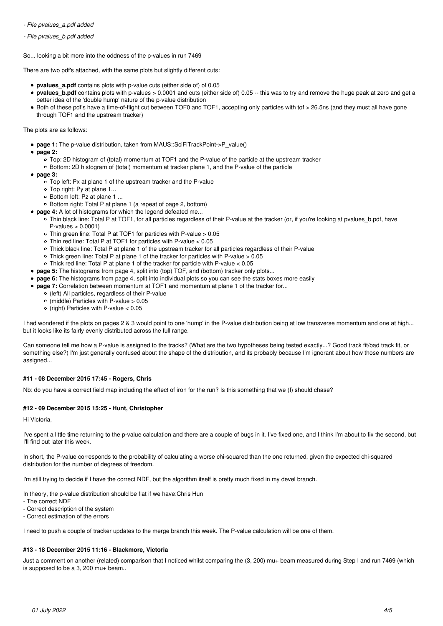*- File pvalues\_a.pdf added*

*- File pvalues\_b.pdf added*

So... looking a bit more into the oddness of the p-values in run 7469

There are two pdf's attached, with the same plots but slightly different cuts:

- **pvalues\_a.pdf** contains plots with p-value cuts (either side of) of 0.05
- **pvalues\_b.pdf** contains plots with p-values > 0.0001 and cuts (either side of) 0.05 -- this was to try and remove the huge peak at zero and get a better idea of the 'double hump' nature of the p-value distribution
- Both of these pdf's have a time-of-flight cut between TOF0 and TOF1, accepting only particles with tof > 26.5ns (and they must all have gone through TOF1 and the upstream tracker)

The plots are as follows:

- page 1: The p-value distribution, taken from MAUS::SciFiTrackPoint->P\_value()
- **page 2:**
	- $\circ$  Top: 2D histogram of (total) momentum at TOF1 and the P-value of the particle at the upstream tracker
	- Bottom: 2D histogram of (total) momentum at tracker plane 1, and the P-value of the particle
- **page 3:**
	- $\circ$  Top left: Px at plane 1 of the upstream tracker and the P-value
	- $\circ$  Top right: Py at plane 1...
	- Bottom left: Pz at plane 1 ...
	- Bottom right: Total P at plane 1 (a repeat of page 2, bottom)
- **page 4:** A lot of histograms for which the legend defeated me...
	- Thin black line: Total P at TOF1, for all particles regardless of their P-value at the tracker (or, if you're looking at pvalues b.pdf, have  $P$ -values  $> 0.0001$
	- Thin green line: Total P at TOF1 for particles with P-value > 0.05
	- Thin red line: Total P at TOF1 for particles with P-value < 0.05
	- Thick black line: Total P at plane 1 of the upstream tracker for all particles regardless of their P-value
	- Thick green line: Total P at plane 1 of the tracker for particles with P-value > 0.05
	- Thick red line: Total P at plane 1 of the tracker for particle with P-value < 0.05
- **page 5:** The histograms from page 4, split into (top) TOF, and (bottom) tracker only plots...
- **page 6:** The histograms from page 4, split into individual plots so you can see the stats boxes more easily
- **page 7:** Correlation between momentum at TOF1 and momentum at plane 1 of the tracker for...
	- o (left) All particles, regardless of their P-value
		- $\circ$  (middle) Particles with P-value  $> 0.05$
		- $\circ$  (right) Particles with P-value  $< 0.05$

I had wondered if the plots on pages 2 & 3 would point to one 'hump' in the P-value distribution being at low transverse momentum and one at high... but it looks like its fairly evenly distributed across the full range.

Can someone tell me how a P-value is assigned to the tracks? (What are the two hypotheses being tested exactly...? Good track fit/bad track fit, or something else?) I'm just generally confused about the shape of the distribution, and its probably because I'm ignorant about how those numbers are assigned...

## **#11 - 08 December 2015 17:45 - Rogers, Chris**

Nb: do you have a correct field map including the effect of iron for the run? Is this something that we (I) should chase?

## **#12 - 09 December 2015 15:25 - Hunt, Christopher**

Hi Victoria,

I've spent a little time returning to the p-value calculation and there are a couple of bugs in it. I've fixed one, and I think I'm about to fix the second, but I'll find out later this week.

In short, the P-value corresponds to the probability of calculating a worse chi-squared than the one returned, given the expected chi-squared distribution for the number of degrees of freedom.

I'm still trying to decide if I have the correct NDF, but the algorithm itself is pretty much fixed in my devel branch.

In theory, the p-value distribution should be flat if we have:Chris Hun

- The correct NDF

- Correct description of the system

- Correct estimation of the errors

I need to push a couple of tracker updates to the merge branch this week. The P-value calculation will be one of them.

# **#13 - 18 December 2015 11:16 - Blackmore, Victoria**

Just a comment on another (related) comparison that I noticed whilst comparing the (3, 200) mu+ beam measured during Step I and run 7469 (which is supposed to be a 3, 200 mu+ beam..